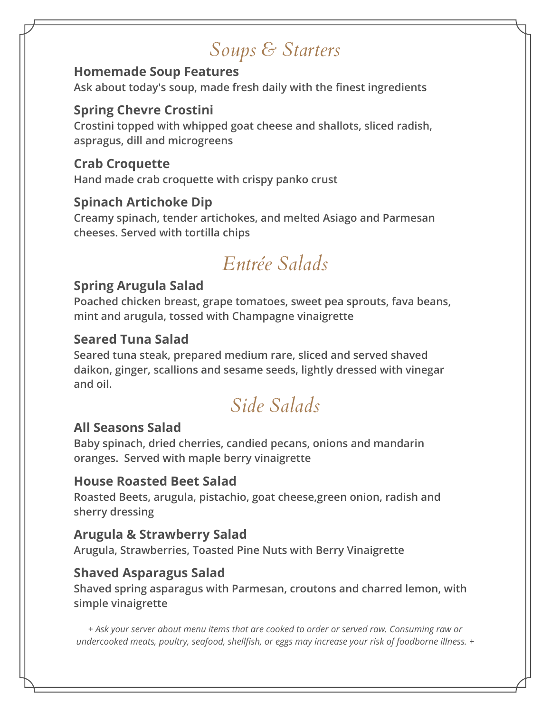# *Soups & Starters*

### **Homemade Soup Features**

**Ask about today's soup, made fresh daily with the finest ingredients**

### **Spring Chevre Crostini**

**Crostini topped with whipped goat cheese and shallots, sliced radish, aspragus, dill and microgreens**

#### **Crab Croquette**

**Hand made crab croquette with crispy panko crust**

### **Spinach Artichoke Dip**

**Creamy spinach, tender artichokes, and melted Asiago and Parmesan cheeses. Served with tortilla chips**

# *Entrée Salads*

### **Spring Arugula Salad**

**Poached chicken breast, grape tomatoes, sweet pea sprouts, fava beans, mint and arugula, tossed with Champagne vinaigrette**

### **Seared Tuna Salad**

**Seared tuna steak, prepared medium rare, sliced and served shaved daikon, ginger, scallions and sesame seeds, lightly dressed with vinegar and oil.**

# *Side Salads*

### **All Seasons Salad**

**Baby spinach, dried cherries, candied pecans, onions and mandarin oranges. Served with maple berry vinaigrette**

#### **House Roasted Beet Salad**

**Roasted Beets, arugula, pistachio, goat cheese,green onion, radish and sherry dressing**

#### **Arugula & Strawberry Salad**

**Arugula, Strawberries, Toasted Pine Nuts with Berry Vinaigrette**

### **Shaved Asparagus Salad**

**Shaved spring asparagus with Parmesan, croutons and charred lemon, with simple vinaigrette**

*+ Ask your server about menu items that are cooked to order or served raw. Consuming raw or undercooked meats, poultry, seafood, shellfish, or eggs may increase your risk of foodborne illness. +*